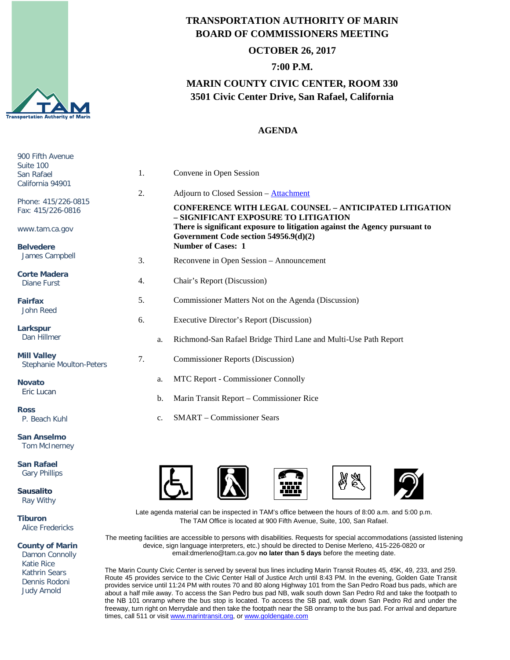

## **TRANSPORTATION AUTHORITY OF MARIN BOARD OF COMMISSIONERS MEETING**

#### **OCTOBER 26, 2017**

## **7:00 P.M.**

# **MARIN COUNTY CIVIC CENTER, ROOM 330 3501 Civic Center Drive, San Rafael, California**

### **AGENDA**

| 900 Fifth Avenue<br>Suite 100<br>San Rafael<br>California 94901 | 1. |    | Convene in Open Session                                                                                             |
|-----------------------------------------------------------------|----|----|---------------------------------------------------------------------------------------------------------------------|
|                                                                 | 2. |    | Adjourn to Closed Session - Attachment                                                                              |
| Phone: 415/226-0815<br>Fax: 415/226-0816                        |    |    | <b>CONFERENCE WITH LEGAL COUNSEL - ANTICIPATED LITIGATION</b><br>- SIGNIFICANT EXPOSURE TO LITIGATION               |
| www.tam.ca.gov                                                  |    |    | There is significant exposure to litigation against the Agency pursuant to<br>Government Code section 54956.9(d)(2) |
| <b>Belvedere</b><br>James Campbell                              |    |    | <b>Number of Cases: 1</b>                                                                                           |
|                                                                 | 3. |    | Reconvene in Open Session - Announcement                                                                            |
| <b>Corte Madera</b><br><b>Diane Furst</b>                       | 4. |    | Chair's Report (Discussion)                                                                                         |
| <b>Fairfax</b><br>John Reed                                     | 5. |    | Commissioner Matters Not on the Agenda (Discussion)                                                                 |
|                                                                 | 6. |    | <b>Executive Director's Report (Discussion)</b>                                                                     |
| Larkspur<br>Dan Hillmer                                         |    | a. | Richmond-San Rafael Bridge Third Lane and Multi-Use Path Report                                                     |
| <b>Mill Valley</b><br><b>Stephanie Moulton-Peters</b>           | 7. |    | <b>Commissioner Reports (Discussion)</b>                                                                            |
| <b>Novato</b><br>Eric Lucan                                     |    | a. | MTC Report - Commissioner Connolly                                                                                  |
|                                                                 |    | b. | Marin Transit Report – Commissioner Rice                                                                            |
| <b>Ross</b><br>P. Beach Kuhl                                    |    | c. | <b>SMART</b> – Commissioner Sears                                                                                   |
| <b>San Anselmo</b><br><b>Tom McInerney</b>                      |    |    |                                                                                                                     |

**San Rafael** Gary Phillips

**Sausalito** Ray Withy

**Tiburon** Alice Fredericks

**County of Marin**

 Damon Connolly Katie Rice Kathrin Sears Dennis Rodoni Judy Arnold



Late agenda material can be inspected in TAM's office between the hours of 8:00 a.m. and 5:00 p.m. The TAM Office is located at 900 Fifth Avenue, Suite, 100, San Rafael.

The meeting facilities are accessible to persons with disabilities. Requests for special accommodations (assisted listening device, sign language interpreters, etc.) should be directed to Denise Merleno, 415-226-0820 or email:dmerleno@tam.ca.gov **no later than 5 days** before the meeting date.

The Marin County Civic Center is served by several bus lines including Marin Transit Routes 45, 45K, 49, 233, and 259. Route 45 provides service to the Civic Center Hall of Justice Arch until 8:43 PM. In the evening, Golden Gate Transit provides service until 11:24 PM with routes 70 and 80 along Highway 101 from the San Pedro Road bus pads, which are about a half mile away. To access the San Pedro bus pad NB, walk south down San Pedro Rd and take the footpath to the NB 101 onramp where the bus stop is located. To access the SB pad, walk down San Pedro Rd and under the freeway, turn right on Merrydale and then take the footpath near the SB onramp to the bus pad. For arrival and departure times, call 511 or visit [www.marintransit.org,](file://tamfs2/tam/03.%20TAM%20BOARDS%20&%20COMMITTEES/03.01%20TAM%20Board/03.01.03%20Board%20Packets/www.marintransit.org) o[r www.goldengate.com](file://tamfs2/tam/03.%20TAM%20BOARDS%20&%20COMMITTEES/03.01%20TAM%20Board/03.01.03%20Board%20Packets/www.goldengate.com)